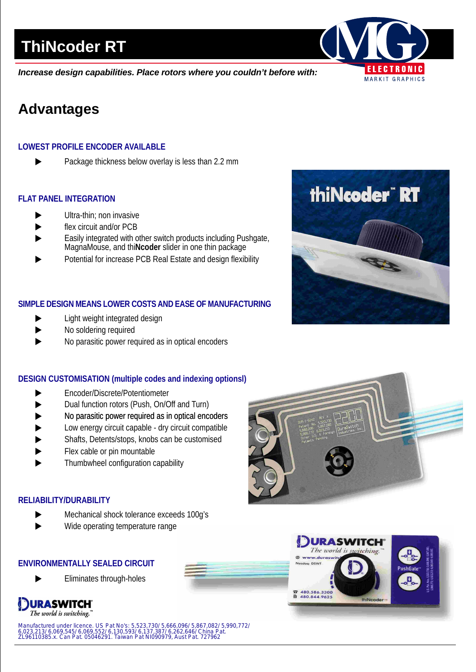# **ThiNcoder RT**

*Increase design capabilities. Place rotors where you couldn't before with:*



# **Advantages**

## **LOWEST PROFILE ENCODER AVAILABLE**

Package thickness below overlay is less than 2.2 mm

## **FLAT PANEL INTEGRATION**

- Ultra-thin; non invasive
- $\blacktriangleright$ flex circuit and/or PCB
- Easily integrated with other switch products including Pushgate, MagnaMouse, and thi**Ncoder** slider in one thin package
- Potential for increase PCB Real Estate and design flexibility

### **SIMPLE DESIGN MEANS LOWER COSTS AND EASE OF MANUFACTURING**

- Light weight integrated design Þ
- $\blacktriangleright$ No soldering required
- No parasitic power required as in optical encoders

# thiNcoder" RT

### **DESIGN CUSTOMISATION (multiple codes and indexing optionsl)**

- Encoder/Discrete/Potentiometer
- Dual function rotors (Push, On/Off and Turn)
- No parasitic power required as in optical encoders
- Low energy circuit capable dry circuit compatible
- Shafts, Detents/stops, knobs can be customised
- Flex cable or pin mountable
- Thumbwheel configuration capability

### **RELIABILITY/DURABILITY**

- Mechanical shock tolerance exceeds 100g's
- Wide operating temperature range

# **ENVIRONMENTALLY SEALED CIRCUIT**

Eliminates through-holes



Manufactured under licence. US Pat No's: 5,523,730/ 5,666,096/ 5,867,082/ 5,990,772/<br>6,023,213/ 6,069,545/ 6,069,552/ 6,130,593/ 6,137,387/ 6,262,646/ China Pat.<br>ZL96110385.x. Can Pat. 05046291. Taiwan Pat NI090979, Aust P